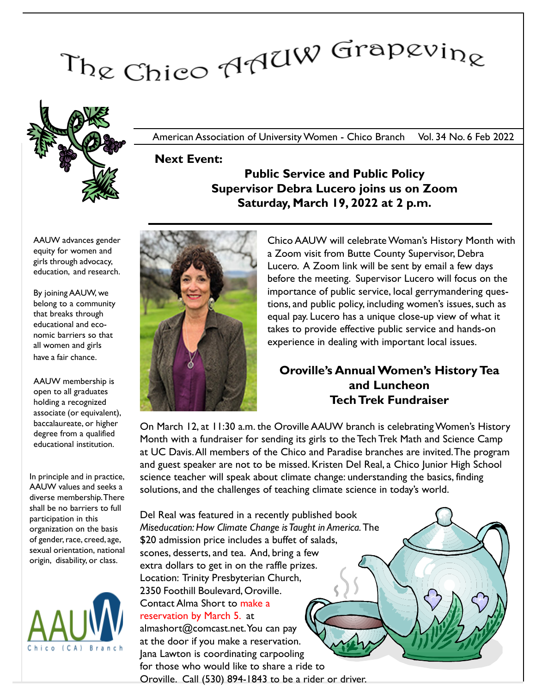# The Chico AAUW Grapevine



American Association of University Women - Chico Branch Vol. 34 No. 6 Feb 2022

Next Event:

# Public Service and Public Policy Supervisor Debra Lucero joins us on Zoom Saturday, March 19, 2022 at 2 p.m.

AAUW advances gender equity for women and girls through advocacy, education, and research.

By joining AAUW, we belong to a community that breaks through educational and economic barriers so that all women and girls have a fair chance.

AAUW membership is open to all graduates holding a recognized associate (or equivalent), baccalaureate, or higher degree from a qualified educational institution.

In principle and in practice, AAUW values and seeks a diverse membership. There shall be no barriers to full participation in this organization on the basis of gender, race, creed, age, sexual orientation, national origin, disability, or class.





Chico AAUW will celebrate Woman's History Month with a Zoom visit from Butte County Supervisor, Debra Lucero. A Zoom link will be sent by email a few days before the meeting. Supervisor Lucero will focus on the importance of public service, local gerrymandering questions, and public policy, including women's issues, such as equal pay. Lucero has a unique close-up view of what it takes to provide effective public service and hands-on experience in dealing with important local issues.

# Oroville's Annual Women's History Tea and Luncheon Tech Trek Fundraiser

On March 12, at 11:30 a.m. the Oroville AAUW branch is celebrating Women's History Month with a fundraiser for sending its girls to the Tech Trek Math and Science Camp at UC Davis.All members of the Chico and Paradise branches are invited.The program and guest speaker are not to be missed. Kristen Del Real, a Chico Junior High School science teacher will speak about climate change: understanding the basics, finding solutions, and the challenges of teaching climate science in today's world.

Del Real was featured in a recently published book Miseducation: How Climate Change is Taught in America.The \$20 admission price includes a buffet of salads, scones, desserts, and tea. And, bring a few extra dollars to get in on the raffle prizes. Location: Trinity Presbyterian Church, 2350 Foothill Boulevard, Oroville. Contact Alma Short to make a reservation by March 5. at almashort@comcast.net. You can pay

at the door if you make a reservation. Jana Lawton is coordinating carpooling for those who would like to share a ride to Oroville. Call (530) 894-1843 to be a rider or driver.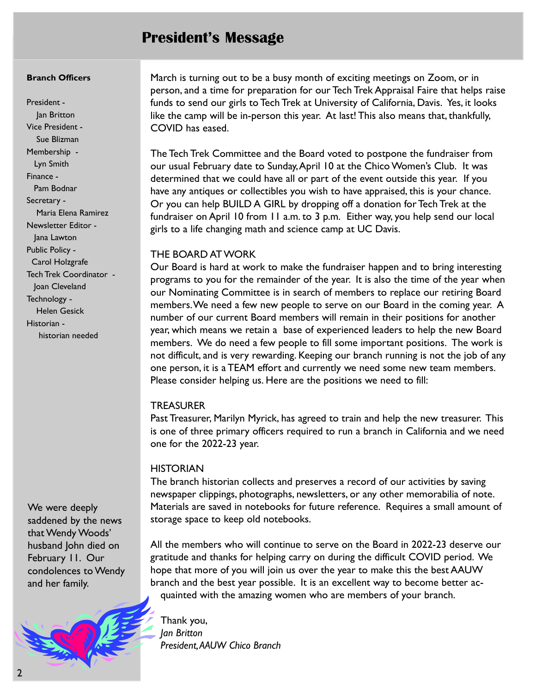# President's Message

### Branch Officers

President - Jan Britton Vice President - Sue Blizman Membership - Lyn Smith Finance - Pam Bodnar Secretary - Maria Elena Ramirez Newsletter Editor - Jana Lawton Public Policy - Carol Holzgrafe Tech Trek Coordinator - Joan Cleveland Technology - Helen Gesick Historian historian needed

We were deeply saddened by the news that Wendy Woods' husband John died on February 11. Our condolences to Wendy and her family.



March is turning out to be a busy month of exciting meetings on Zoom, or in person, and a time for preparation for our Tech Trek Appraisal Faire that helps raise funds to send our girls to Tech Trek at University of California, Davis. Yes, it looks like the camp will be in-person this year. At last! This also means that, thankfully, COVID has eased.

The Tech Trek Committee and the Board voted to postpone the fundraiser from our usual February date to Sunday, April 10 at the Chico Women's Club. It was determined that we could have all or part of the event outside this year. If you have any antiques or collectibles you wish to have appraised, this is your chance. Or you can help BUILD A GIRL by dropping off a donation for Tech Trek at the fundraiser on April 10 from 11 a.m. to 3 p.m. Either way, you help send our local girls to a life changing math and science camp at UC Davis.

# THE BOARD AT WORK

Our Board is hard at work to make the fundraiser happen and to bring interesting programs to you for the remainder of the year. It is also the time of the year when our Nominating Committee is in search of members to replace our retiring Board members. We need a few new people to serve on our Board in the coming year. A number of our current Board members will remain in their positions for another year, which means we retain a base of experienced leaders to help the new Board members. We do need a few people to fill some important positions. The work is not difficult, and is very rewarding. Keeping our branch running is not the job of any one person, it is a TEAM effort and currently we need some new team members. Please consider helping us. Here are the positions we need to fill:

# **TREASURER**

Past Treasurer, Marilyn Myrick, has agreed to train and help the new treasurer. This is one of three primary officers required to run a branch in California and we need one for the 2022-23 year.

# **HISTORIAN**

The branch historian collects and preserves a record of our activities by saving newspaper clippings, photographs, newsletters, or any other memorabilia of note. Materials are saved in notebooks for future reference. Requires a small amount of storage space to keep old notebooks.

All the members who will continue to serve on the Board in 2022-23 deserve our gratitude and thanks for helping carry on during the difficult COVID period. We hope that more of you will join us over the year to make this the best AAUW branch and the best year possible. It is an excellent way to become better acquainted with the amazing women who are members of your branch.

Thank you, Jan Britton President,AAUW Chico Branch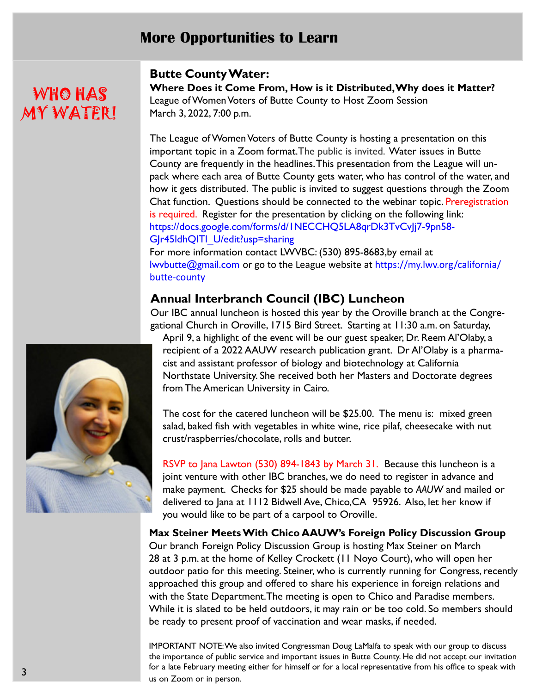# More Opportunities to Learn

# WHO HAS MY WATER!

# Butte County Water:

Where Does it Come From, How is it Distributed, Why does it Matter? League of Women Voters of Butte County to Host Zoom Session March 3, 2022, 7:00 p.m.

The League of Women Voters of Butte County is hosting a presentation on this important topic in a Zoom format.The public is invited. Water issues in Butte County are frequently in the headlines.This presentation from the League will unpack where each area of Butte County gets water, who has control of the water, and how it gets distributed. The public is invited to suggest questions through the Zoom Chat function. Questions should be connected to the webinar topic. Preregistration is required. Register for the presentation by clicking on the following link: https://docs.google.com/forms/d/1NECCHQ5LA8qrDk3TvCvJj7-9pn58- GJr45ldhQITl\_U/edit?usp=sharing

For more information contact LWVBC: (530) 895-8683,by email at lwvbutte@gmail.com or go to the League website at https://my.lwv.org/california/ butte-county

# Annual Interbranch Council (IBC) Luncheon

Our IBC annual luncheon is hosted this year by the Oroville branch at the Congregational Church in Oroville, 1715 Bird Street. Starting at 11:30 a.m. on Saturday,

April 9, a highlight of the event will be our guest speaker, Dr. Reem Al'Olaby, a recipient of a 2022 AAUW research publication grant. Dr Al'Olaby is a pharmacist and assistant professor of biology and biotechnology at California Northstate University. She received both her Masters and Doctorate degrees from The American University in Cairo.

The cost for the catered luncheon will be \$25.00. The menu is: mixed green salad, baked fish with vegetables in white wine, rice pilaf, cheesecake with nut crust/raspberries/chocolate, rolls and butter.

RSVP to Jana Lawton (530) 894-1843 by March 31. Because this luncheon is a joint venture with other IBC branches, we do need to register in advance and make payment. Checks for \$25 should be made payable to AAUW and mailed or delivered to Jana at 1112 Bidwell Ave, Chico,CA 95926. Also, let her know if you would like to be part of a carpool to Oroville.

Max Steiner Meets With Chico AAUW's Foreign Policy Discussion Group Our branch Foreign Policy Discussion Group is hosting Max Steiner on March 28 at 3 p.m. at the home of Kelley Crockett (11 Noyo Court), who will open her outdoor patio for this meeting. Steiner, who is currently running for Congress, recently approached this group and offered to share his experience in foreign relations and with the State Department.The meeting is open to Chico and Paradise members. While it is slated to be held outdoors, it may rain or be too cold. So members should be ready to present proof of vaccination and wear masks, if needed.

IMPORTANT NOTE: We also invited Congressman Doug LaMalfa to speak with our group to discuss the importance of public service and important issues in Butte County. He did not accept our invitation for a late February meeting either for himself or for a local representative from his office to speak with us on Zoom or in person.

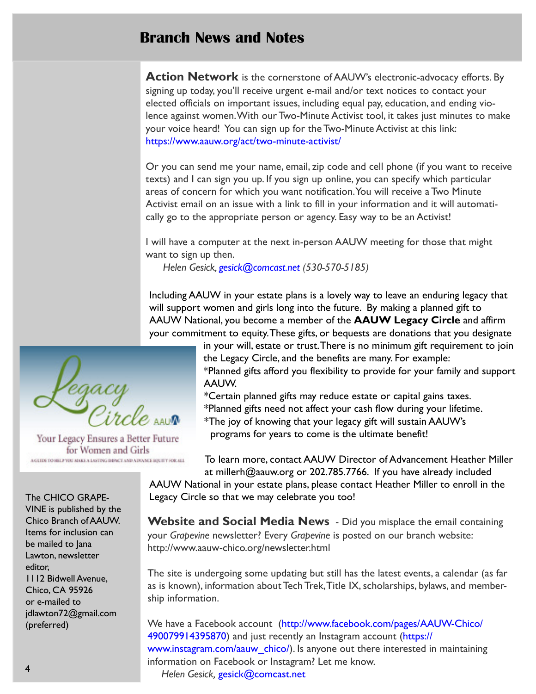# Branch News and Notes

Action Network is the cornerstone of AAUW's electronic-advocacy efforts. By signing up today, you'll receive urgent e-mail and/or text notices to contact your elected officials on important issues, including equal pay, education, and ending violence against women.With our Two-Minute Activist tool, it takes just minutes to make your voice heard! You can sign up for the Two-Minute Activist at this link: https://www.aauw.org/act/two-minute-activist/

Or you can send me your name, email, zip code and cell phone (if you want to receive texts) and I can sign you up. If you sign up online, you can specify which particular areas of concern for which you want notification. You will receive a Two Minute Activist email on an issue with a link to fill in your information and it will automatically go to the appropriate person or agency. Easy way to be an Activist!

I will have a computer at the next in-person AAUW meeting for those that might want to sign up then.

Helen Gesick, gesick@comcast.net (530-570-5185)

Including AAUW in your estate plans is a lovely way to leave an enduring legacy that will support women and girls long into the future. By making a planned gift to AAUW National, you become a member of the AAUW Legacy Circle and affirm your commitment to equity. These gifts, or bequests are donations that you designate

> in your will, estate or trust.There is no minimum gift requirement to join the Legacy Circle, and the benefits are many. For example: \*Planned gifts afford you flexibility to provide for your family and support

AAUW.

\*Certain planned gifts may reduce estate or capital gains taxes. \*Planned gifts need not affect your cash flow during your lifetime.

\*The joy of knowing that your legacy gift will sustain AAUW's programs for years to come is the ultimate benefit!

To learn more, contact AAUW Director of Advancement Heather Miller at millerh@aauw.org or 202.785.7766. If you have already included AAUW National in your estate plans, please contact Heather Miller to enroll in the

Legacy Circle so that we may celebrate you too!

**Website and Social Media News** - Did you misplace the email containing your Grapevine newsletter? Every Grapevine is posted on our branch website: http://www.aauw-chico.org/newsletter.html

The site is undergoing some updating but still has the latest events, a calendar (as far as is known), information about Tech Trek,Title IX, scholarships, bylaws, and membership information.

We have a Facebook account (http://www.facebook.com/pages/AAUW-Chico/ 490079914395870) and just recently an Instagram account (https:// www.instagram.com/aauw\_chico/). Is anyone out there interested in maintaining information on Facebook or Instagram? Let me know. Helen Gesick, gesick@comcast.net



Your Legacy Ensures a Better Future for Women and Girls A GLIDE TO HELP YOU AIAKE A LASTING IMPACT AND ADVANCE HIS ITY FOR ALL

The CHICO GRAPE-VINE is published by the Chico Branch of AAUW. Items for inclusion can be mailed to Jana Lawton, newsletter editor, 1112 Bidwell Avenue, Chico, CA 95926 or e-mailed to jdlawton72@gmail.com (preferred)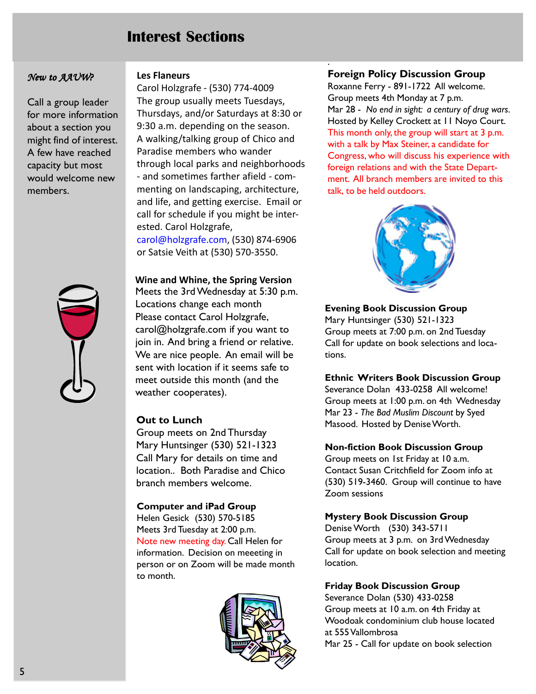# Interest Sections

## New to AAUW?

Call a group leader for more information about a section you might find of interest. A few have reached capacity but most would welcome new members.



### Les Flaneurs

Carol Holzgrafe - (530) 774-4009 The group usually meets Tuesdays, Thursdays, and/or Saturdays at 8:30 or 9:30 a.m. depending on the season. A walking/talking group of Chico and Paradise members who wander through local parks and neighborhoods - and sometimes farther afield - commenting on landscaping, architecture, and life, and getting exercise. Email or call for schedule if you might be interested. Carol Holzgrafe, carol@holzgrafe.com, (530) 874-6906 or Satsie Veith at (530) 570-3550.

Wine and Whine, the Spring Version Meets the 3rd Wednesday at 5:30 p.m. Locations change each month Please contact Carol Holzgrafe, carol@holzgrafe.com if you want to join in. And bring a friend or relative. We are nice people. An email will be sent with location if it seems safe to meet outside this month (and the weather cooperates).

# Out to Lunch

Group meets on 2nd Thursday Mary Huntsinger (530) 521-1323 Call Mary for details on time and location.. Both Paradise and Chico branch members welcome.

# Computer and iPad Group

Helen Gesick (530) 570-5185 Meets 3rd Tuesday at 2:00 p.m. Note new meeting day. Call Helen for information. Decision on meeeting in person or on Zoom will be made month to month.



# Foreign Policy Discussion Group

.

Roxanne Ferry - 891-1722 All welcome. Group meets 4th Monday at 7 p.m. Mar 28 - No end in sight: a century of drug wars. Hosted by Kelley Crockett at 11 Noyo Court. This month only, the group will start at 3 p.m. with a talk by Max Steiner, a candidate for Congress, who will discuss his experience with foreign relations and with the State Department. All branch members are invited to this talk, to be held outdoors.



### Evening Book Discussion Group

Mary Huntsinger (530) 521-1323 Group meets at 7:00 p.m. on 2nd Tuesday Call for update on book selections and locations.

### Ethnic Writers Book Discussion Group

Severance Dolan 433-0258 All welcome! Group meets at 1:00 p.m. on 4th Wednesday Mar 23 - The Bad Muslim Discount by Syed Masood. Hosted by Denise Worth.

### Non-fiction Book Discussion Group

Group meets on 1st Friday at 10 a.m. Contact Susan Critchfield for Zoom info at (530) 519-3460. Group will continue to have Zoom sessions

### Mystery Book Discussion Group

Denise Worth (530) 343-5711 Group meets at 3 p.m. on 3rd Wednesday Call for update on book selection and meeting location.

### Friday Book Discussion Group

Severance Dolan (530) 433-0258 Group meets at 10 a.m. on 4th Friday at Woodoak condominium club house located at 555 Vallombrosa Mar 25 - Call for update on book selection